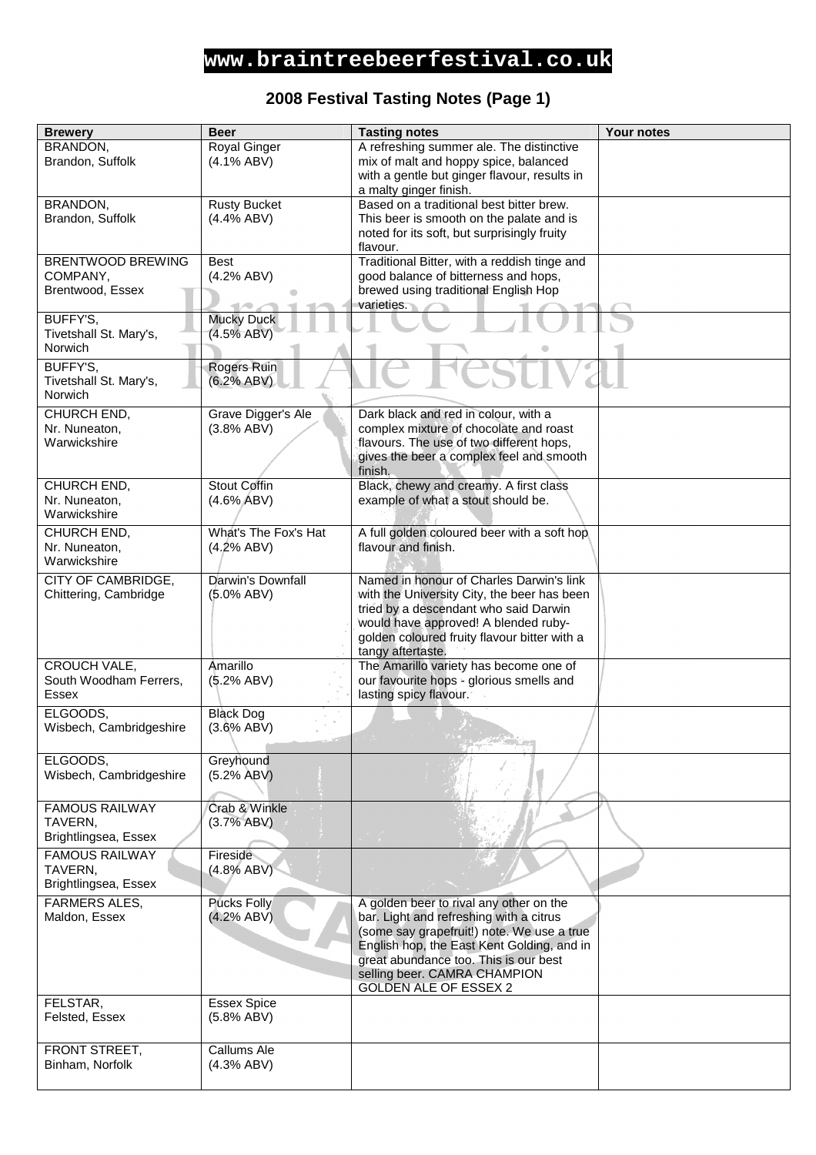### **2008 Festival Tasting Notes (Page 1)**

| <b>Brewery</b>                         | <b>Beer</b>                     | <b>Tasting notes</b>                                        | Your notes |
|----------------------------------------|---------------------------------|-------------------------------------------------------------|------------|
| BRANDON,                               | Royal Ginger                    | A refreshing summer ale. The distinctive                    |            |
| Brandon, Suffolk                       | $(4.1\%$ ABV)                   | mix of malt and hoppy spice, balanced                       |            |
|                                        |                                 | with a gentle but ginger flavour, results in                |            |
|                                        |                                 | a malty ginger finish.                                      |            |
| BRANDON,                               | <b>Rusty Bucket</b>             | Based on a traditional best bitter brew.                    |            |
| Brandon, Suffolk                       | $(4.4\%$ ABV)                   | This beer is smooth on the palate and is                    |            |
|                                        |                                 | noted for its soft, but surprisingly fruity                 |            |
|                                        |                                 | flavour.                                                    |            |
| <b>BRENTWOOD BREWING</b>               | <b>Best</b>                     | Traditional Bitter, with a reddish tinge and                |            |
| COMPANY,                               | (4.2% ABV)                      | good balance of bitterness and hops,                        |            |
| Brentwood, Essex                       |                                 | brewed using traditional English Hop                        |            |
|                                        |                                 | varieties.                                                  |            |
| BUFFY'S,<br>Tivetshall St. Mary's,     | <b>Mucky Duck</b><br>(4.5% ABV) |                                                             |            |
| Norwich                                |                                 |                                                             |            |
|                                        |                                 |                                                             |            |
| BUFFY'S,                               | Rogers Ruin                     |                                                             |            |
| Tivetshall St. Mary's,                 | (6.2% ABV)                      |                                                             |            |
| Norwich                                |                                 |                                                             |            |
| CHURCH END,                            | Grave Digger's Ale              | Dark black and red in colour, with a                        |            |
| Nr. Nuneaton,                          | (3.8% ABV)                      | complex mixture of chocolate and roast                      |            |
| Warwickshire                           |                                 | flavours. The use of two different hops,                    |            |
|                                        |                                 | gives the beer a complex feel and smooth                    |            |
|                                        |                                 | finish.                                                     |            |
| CHURCH END,<br>Nr. Nuneaton,           | Stout Coffin                    | Black, chewy and creamy. A first class                      |            |
| Warwickshire                           | $(4.6\%$ ABV)                   | example of what a stout should be.                          |            |
|                                        |                                 |                                                             |            |
| CHURCH END,                            | What's The Fox's Hat            | A full golden coloured beer with a soft hop                 |            |
| Nr. Nuneaton,                          | (4.2% ABV)                      | flavour and finish.                                         |            |
| Warwickshire                           |                                 |                                                             |            |
| CITY OF CAMBRIDGE,                     | Darwin's Downfall               | Named in honour of Charles Darwin's link                    |            |
| Chittering, Cambridge                  | $(5.0\%$ ABV)                   | with the University City, the beer has been                 |            |
|                                        |                                 | tried by a descendant who said Darwin                       |            |
|                                        |                                 | would have approved! A blended ruby-                        |            |
|                                        |                                 | golden coloured fruity flavour bitter with a                |            |
|                                        |                                 | tangy aftertaste.<br>The Amarillo variety has become one of |            |
| CROUCH VALE,<br>South Woodham Ferrers, | Amarillo<br>(5.2% ABV)          | our favourite hops - glorious smells and                    |            |
| <b>Essex</b>                           |                                 | lasting spicy flavour.                                      |            |
|                                        |                                 |                                                             |            |
| ELGOODS,                               | <b>Black Dog</b>                |                                                             |            |
| Wisbech, Cambridgeshire                | $(3.6\%$ ABV)                   |                                                             |            |
|                                        |                                 |                                                             |            |
| ELGOODS,                               | Greyhound                       |                                                             |            |
| Wisbech, Cambridgeshire                | (5.2% ABV)                      |                                                             |            |
|                                        |                                 |                                                             |            |
| <b>FAMOUS RAILWAY</b>                  | Crab & Winkle                   |                                                             |            |
| TAVERN,                                | (3.7% ABV)                      |                                                             |            |
| Brightlingsea, Essex                   |                                 |                                                             |            |
| <b>FAMOUS RAILWAY</b>                  | Fireside                        |                                                             |            |
| TAVERN,                                | (4.8% ABV)                      |                                                             |            |
| Brightlingsea, Essex                   |                                 |                                                             |            |
| <b>FARMERS ALES,</b>                   | <b>Pucks Folly</b>              | A golden beer to rival any other on the                     |            |
| Maldon, Essex                          | (4.2% ABV)                      | bar. Light and refreshing with a citrus                     |            |
|                                        |                                 | (some say grapefruit!) note. We use a true                  |            |
|                                        |                                 | English hop, the East Kent Golding, and in                  |            |
|                                        |                                 | great abundance too. This is our best                       |            |
|                                        |                                 | selling beer. CAMRA CHAMPION                                |            |
|                                        |                                 | <b>GOLDEN ALE OF ESSEX 2</b>                                |            |
| FELSTAR,                               | <b>Essex Spice</b>              |                                                             |            |
| Felsted, Essex                         | (5.8% ABV)                      |                                                             |            |
|                                        |                                 |                                                             |            |
| FRONT STREET,                          | Callums Ale                     |                                                             |            |
| Binham, Norfolk                        | (4.3% ABV)                      |                                                             |            |
|                                        |                                 |                                                             |            |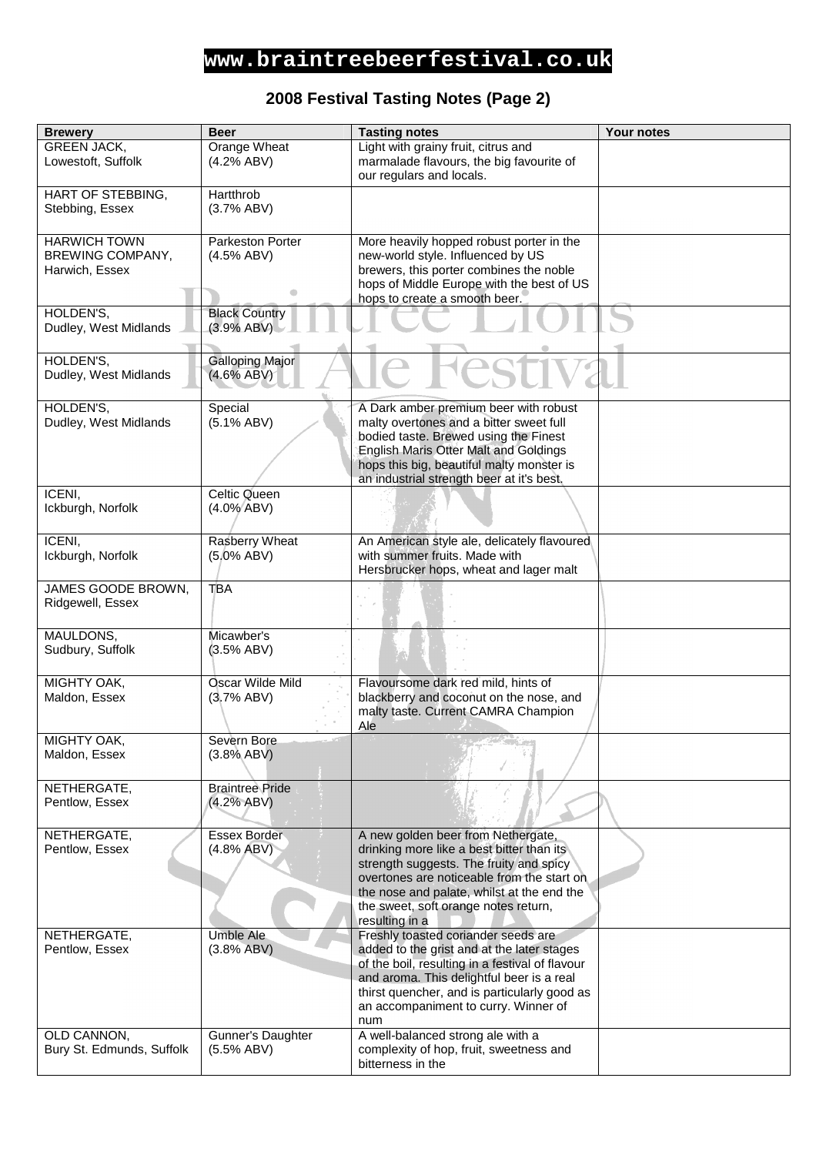#### **2008 Festival Tasting Notes (Page 2)**

| <b>Brewery</b>            | <b>Beer</b>            | <b>Tasting notes</b>                            | Your notes |
|---------------------------|------------------------|-------------------------------------------------|------------|
| <b>GREEN JACK,</b>        | Orange Wheat           | Light with grainy fruit, citrus and             |            |
| Lowestoft, Suffolk        | (4.2% ABV)             | marmalade flavours, the big favourite of        |            |
|                           |                        | our regulars and locals.                        |            |
|                           |                        |                                                 |            |
| HART OF STEBBING,         | Hartthrob              |                                                 |            |
| Stebbing, Essex           | (3.7% ABV)             |                                                 |            |
|                           |                        |                                                 |            |
| <b>HARWICH TOWN</b>       | Parkeston Porter       | More heavily hopped robust porter in the        |            |
| BREWING COMPANY,          | (4.5% ABV)             | new-world style. Influenced by US               |            |
| Harwich, Essex            |                        | brewers, this porter combines the noble         |            |
|                           |                        | hops of Middle Europe with the best of US       |            |
|                           |                        | hops to create a smooth beer.                   |            |
| HOLDEN'S,                 | <b>Black Country</b>   |                                                 |            |
| Dudley, West Midlands     | (3.9% ABV)             |                                                 |            |
|                           |                        |                                                 |            |
| HOLDEN'S,                 | Galloping Major        |                                                 |            |
| Dudley, West Midlands     | $(4.6\% ABV)$          |                                                 |            |
|                           |                        |                                                 |            |
| HOLDEN'S,                 | Special                | A Dark amber premium beer with robust           |            |
| Dudley, West Midlands     | $(5.1\% ABV)$          | malty overtones and a bitter sweet full         |            |
|                           |                        | bodied taste. Brewed using the Finest           |            |
|                           |                        | English Maris Otter Malt and Goldings           |            |
|                           |                        | hops this big, beautiful malty monster is       |            |
|                           |                        | an industrial strength beer at it's best.       |            |
| ICENI,                    | Celtic Queen           |                                                 |            |
| Ickburgh, Norfolk         | $(4.0\%$ ABV)          |                                                 |            |
|                           |                        |                                                 |            |
|                           |                        |                                                 |            |
| ICENI,                    | Rasberry Wheat         | An American style ale, delicately flavoured     |            |
| Ickburgh, Norfolk         | $(5.0\%$ ABV)          | with summer fruits. Made with                   |            |
|                           |                        | Hersbrucker hops, wheat and lager malt          |            |
| JAMES GOODE BROWN,        | <b>TBA</b>             |                                                 |            |
| Ridgewell, Essex          |                        |                                                 |            |
|                           |                        |                                                 |            |
| MAULDONS,                 | Micawber's             |                                                 |            |
| Sudbury, Suffolk          | (3.5% ABV)             |                                                 |            |
|                           |                        |                                                 |            |
| MIGHTY OAK,               | Oscar Wilde Mild       | Flavoursome dark red mild, hints of             |            |
| Maldon, Essex             | (3.7% ABV)             | blackberry and coconut on the nose, and         |            |
|                           |                        | malty taste. Current CAMRA Champion             |            |
|                           |                        | Ale                                             |            |
| MIGHTY OAK,               | Severn Bore            |                                                 |            |
| Maldon, Essex             | (3.8% ABV)             |                                                 |            |
|                           |                        |                                                 |            |
|                           |                        |                                                 |            |
| NETHERGATE,               | <b>Braintree Pride</b> |                                                 |            |
| Pentlow, Essex            | (4.2% ABV)             |                                                 |            |
|                           |                        |                                                 |            |
| NETHERGATE,               | Essex Border           | A new golden beer from Nethergate,              |            |
| Pentlow, Essex            | (4.8% ABV)             | drinking more like a best bitter than its       |            |
|                           |                        | strength suggests. The fruity and spicy         |            |
|                           |                        | overtones are noticeable from the start on      |            |
|                           |                        | the nose and palate, whilst at the end the      |            |
|                           |                        | the sweet, soft orange notes return,            |            |
|                           |                        | resulting in a                                  |            |
| NETHERGATE,               | <b>Umble Ale</b>       | Freshly toasted coriander seeds are             |            |
| Pentlow, Essex            | (3.8% ABV)             | added to the grist and at the later stages      |            |
|                           |                        | of the boil, resulting in a festival of flavour |            |
|                           |                        | and aroma. This delightful beer is a real       |            |
|                           |                        | thirst quencher, and is particularly good as    |            |
|                           |                        | an accompaniment to curry. Winner of            |            |
|                           |                        | num                                             |            |
| OLD CANNON,               | Gunner's Daughter      | A well-balanced strong ale with a               |            |
| Bury St. Edmunds, Suffolk | (5.5% ABV)             | complexity of hop, fruit, sweetness and         |            |
|                           |                        | bitterness in the                               |            |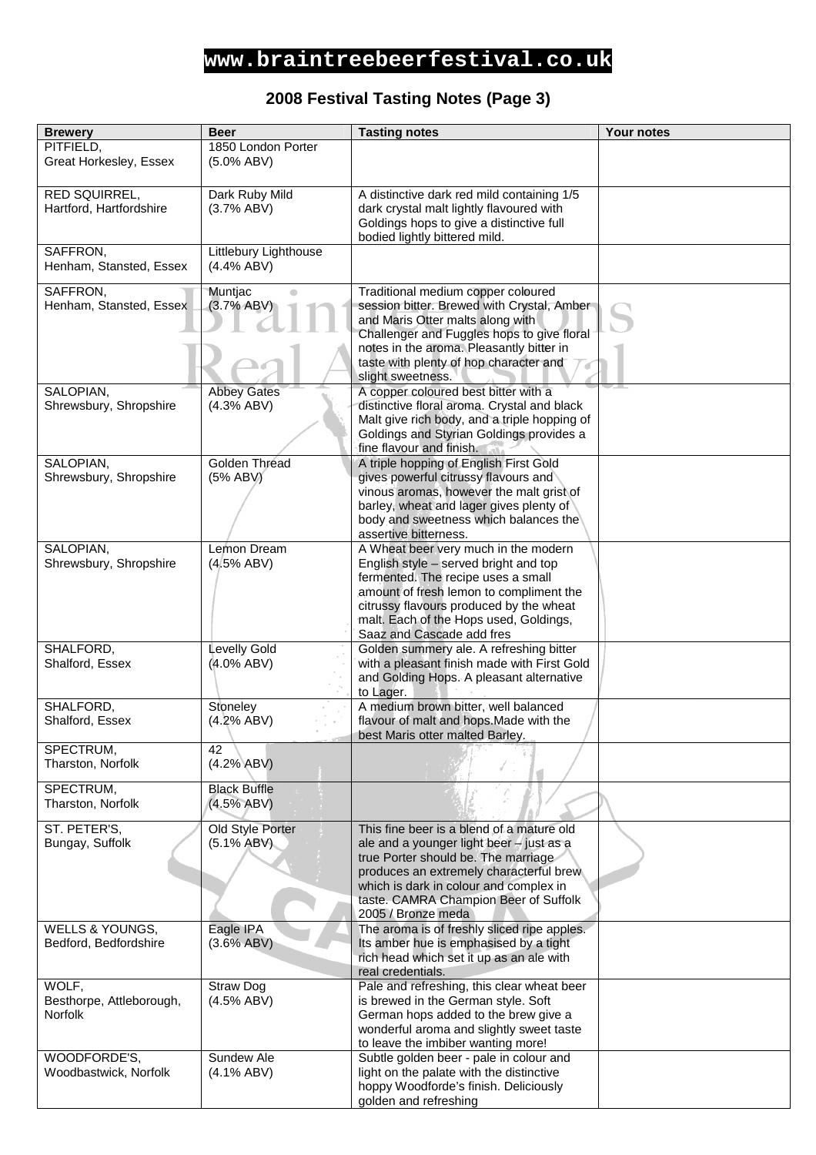# **2008 Festival Tasting Notes (Page 3)**

| <b>Brewery</b>                      | <b>Beer</b>           | <b>Tasting notes</b>                                                                   | Your notes |
|-------------------------------------|-----------------------|----------------------------------------------------------------------------------------|------------|
| PITFIELD,                           | 1850 London Porter    |                                                                                        |            |
| Great Horkesley, Essex              | $(5.0\%$ ABV)         |                                                                                        |            |
|                                     |                       |                                                                                        |            |
| RED SQUIRREL,                       | Dark Ruby Mild        | A distinctive dark red mild containing 1/5                                             |            |
| Hartford, Hartfordshire             | (3.7% ABV)            | dark crystal malt lightly flavoured with                                               |            |
|                                     |                       | Goldings hops to give a distinctive full                                               |            |
|                                     |                       | bodied lightly bittered mild.                                                          |            |
| SAFFRON,                            | Littlebury Lighthouse |                                                                                        |            |
| Henham, Stansted, Essex             | (4.4% ABV)            |                                                                                        |            |
| SAFFRON,                            | Muntjac<br>$\bullet$  | Traditional medium copper coloured                                                     |            |
| Henham, Stansted, Essex             | (3.7% ABV)            | session bitter. Brewed with Crystal, Amber-                                            |            |
|                                     |                       | and Maris Otter malts along with                                                       |            |
|                                     |                       | Challenger and Fuggles hops to give floral                                             |            |
|                                     |                       | notes in the aroma. Pleasantly bitter in                                               |            |
|                                     |                       | taste with plenty of hop character and<br>slight sweetness.                            |            |
| SALOPIAN,                           | <b>Abbey Gates</b>    | A copper coloured best bitter with a                                                   |            |
| Shrewsbury, Shropshire              | (4.3% ABV)            | distinctive floral aroma. Crystal and black                                            |            |
|                                     |                       | Malt give rich body, and a triple hopping of                                           |            |
|                                     |                       | Goldings and Styrian Goldings provides a                                               |            |
|                                     |                       | fine flavour and finish.                                                               |            |
| SALOPIAN,                           | Golden Thread         | A triple hopping of English First Gold                                                 |            |
| Shrewsbury, Shropshire              | (5% ABV)              | gives powerful citrussy flavours and                                                   |            |
|                                     |                       | vinous aromas, however the malt grist of                                               |            |
|                                     |                       | barley, wheat and lager gives plenty of<br>body and sweetness which balances the       |            |
|                                     |                       | assertive bitterness.                                                                  |            |
| SALOPIAN,                           | Lemon Dream           | A Wheat beer very much in the modern                                                   |            |
| Shrewsbury, Shropshire              | (4.5% ABV)            | English style - served bright and top                                                  |            |
|                                     |                       | fermented. The recipe uses a small                                                     |            |
|                                     |                       | amount of fresh lemon to compliment the                                                |            |
|                                     |                       | citrussy flavours produced by the wheat                                                |            |
|                                     |                       | malt. Each of the Hops used, Goldings,                                                 |            |
|                                     |                       | Saaz and Cascade add fres                                                              |            |
| SHALFORD,<br>Shalford, Essex        | Levelly Gold          | Golden summery ale. A refreshing bitter<br>with a pleasant finish made with First Gold |            |
|                                     | $(4.0\%$ ABV)         | and Golding Hops. A pleasant alternative                                               |            |
|                                     |                       | to Lager.                                                                              |            |
| SHALFORD,                           | Stoneley              | A medium brown bitter, well balanced                                                   |            |
| Shalford, Essex                     | (4.2% ABV)            | flavour of malt and hops. Made with the                                                |            |
|                                     |                       | best Maris otter malted Barley.                                                        |            |
| SPECTRUM,                           | 42                    |                                                                                        |            |
| Tharston, Norfolk                   | (4.2% ABV)            |                                                                                        |            |
| SPECTRUM,                           | <b>Black Buffle</b>   |                                                                                        |            |
| Tharston, Norfolk                   | (4.5% ABV)            |                                                                                        |            |
|                                     |                       |                                                                                        |            |
| ST. PETER'S,                        | Old Style Porter      | This fine beer is a blend of a mature old                                              |            |
| Bungay, Suffolk                     | $(5.1\% ABV)$         | ale and a younger light beer - just as a                                               |            |
|                                     |                       | true Porter should be. The marriage<br>produces an extremely characterful brew         |            |
|                                     |                       | which is dark in colour and complex in                                                 |            |
|                                     |                       | taste. CAMRA Champion Beer of Suffolk                                                  |            |
|                                     |                       | 2005 / Bronze meda                                                                     |            |
| WELLS & YOUNGS,                     | Eagle IPA             | The aroma is of freshly sliced ripe apples.                                            |            |
| Bedford, Bedfordshire               | (3.6% ABV)            | Its amber hue is emphasised by a tight                                                 |            |
|                                     |                       | rich head which set it up as an ale with                                               |            |
|                                     |                       | real credentials.                                                                      |            |
| WOLF,                               | Straw Dog             | Pale and refreshing, this clear wheat beer                                             |            |
| Besthorpe, Attleborough,<br>Norfolk | (4.5% ABV)            | is brewed in the German style. Soft<br>German hops added to the brew give a            |            |
|                                     |                       | wonderful aroma and slightly sweet taste                                               |            |
|                                     |                       | to leave the imbiber wanting more!                                                     |            |
| WOODFORDE'S,                        | Sundew Ale            | Subtle golden beer - pale in colour and                                                |            |
| Woodbastwick, Norfolk               | $(4.1\% ABV)$         | light on the palate with the distinctive                                               |            |
|                                     |                       | hoppy Woodforde's finish. Deliciously                                                  |            |
|                                     |                       | golden and refreshing                                                                  |            |